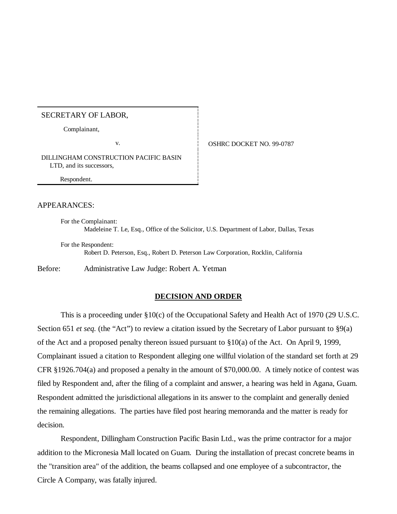### SECRETARY OF LABOR,

Complainant,

v. SHRC DOCKET NO. 99-0787

DILLINGHAM CONSTRUCTION PACIFIC BASIN LTD, and its successors,

Respondent.

## APPEARANCES:

For the Complainant: Madeleine T. Le, Esq., Office of the Solicitor, U.S. Department of Labor, Dallas, Texas

For the Respondent: Robert D. Peterson, Esq., Robert D. Peterson Law Corporation, Rocklin, California

Before: Administrative Law Judge: Robert A. Yetman

#### **DECISION AND ORDER**

This is a proceeding under §10(c) of the Occupational Safety and Health Act of 1970 (29 U.S.C. Section 651 *et seq.* (the "Act") to review a citation issued by the Secretary of Labor pursuant to §9(a) of the Act and a proposed penalty thereon issued pursuant to §10(a) of the Act. On April 9, 1999, Complainant issued a citation to Respondent alleging one willful violation of the standard set forth at 29 CFR §1926.704(a) and proposed a penalty in the amount of \$70,000.00. A timely notice of contest was filed by Respondent and, after the filing of a complaint and answer, a hearing was held in Agana, Guam. Respondent admitted the jurisdictional allegations in its answer to the complaint and generally denied the remaining allegations. The parties have filed post hearing memoranda and the matter is ready for decision.

Respondent, Dillingham Construction Pacific Basin Ltd., was the prime contractor for a major addition to the Micronesia Mall located on Guam. During the installation of precast concrete beams in the "transition area" of the addition, the beams collapsed and one employee of a subcontractor, the Circle A Company, was fatally injured.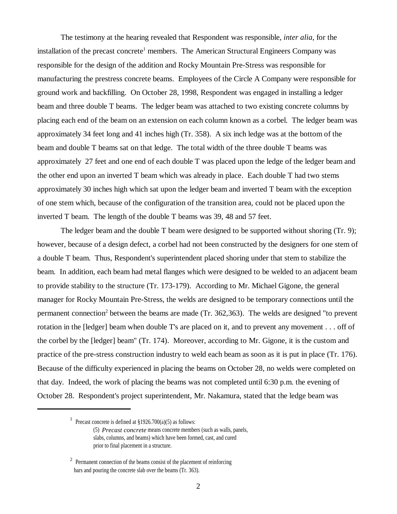The testimony at the hearing revealed that Respondent was responsible, *inter alia*, for the installation of the precast concrete<sup>1</sup> members. The American Structural Engineers Company was responsible for the design of the addition and Rocky Mountain Pre-Stress was responsible for manufacturing the prestress concrete beams. Employees of the Circle A Company were responsible for ground work and backfilling. On October 28, 1998, Respondent was engaged in installing a ledger beam and three double T beams. The ledger beam was attached to two existing concrete columns by placing each end of the beam on an extension on each column known as a corbel. The ledger beam was approximately 34 feet long and 41 inches high (Tr. 358). A six inch ledge was at the bottom of the beam and double T beams sat on that ledge. The total width of the three double T beams was approximately 27 feet and one end of each double T was placed upon the ledge of the ledger beam and the other end upon an inverted T beam which was already in place. Each double T had two stems approximately 30 inches high which sat upon the ledger beam and inverted T beam with the exception of one stem which, because of the configuration of the transition area, could not be placed upon the inverted T beam. The length of the double T beams was 39, 48 and 57 feet.

The ledger beam and the double T beam were designed to be supported without shoring (Tr. 9); however, because of a design defect, a corbel had not been constructed by the designers for one stem of a double T beam. Thus, Respondent's superintendent placed shoring under that stem to stabilize the beam. In addition, each beam had metal flanges which were designed to be welded to an adjacent beam to provide stability to the structure (Tr. 173-179). According to Mr. Michael Gigone, the general manager for Rocky Mountain Pre-Stress, the welds are designed to be temporary connections until the permanent connection<sup>2</sup> between the beams are made (Tr. 362,363). The welds are designed "to prevent rotation in the [ledger] beam when double T's are placed on it, and to prevent any movement . . . off of the corbel by the [ledger] beam" (Tr. 174). Moreover, according to Mr. Gigone, it is the custom and practice of the pre-stress construction industry to weld each beam as soon as it is put in place (Tr. 176). Because of the difficulty experienced in placing the beams on October 28, no welds were completed on that day. Indeed, the work of placing the beams was not completed until 6:30 p.m. the evening of October 28. Respondent's project superintendent, Mr. Nakamura, stated that the ledge beam was

<sup>&</sup>lt;sup>1</sup> Precast concrete is defined at  $\S 1926.700(a)(5)$  as follows:

<sup>(5)</sup> *Precast concrete* means concrete members (such as walls, panels, slabs, columns, and beams) which have been formed, cast, and cured prior to final placement in a structure.

 $2$  Permanent connection of the beams consist of the placement of reinforcing bars and pouring the concrete slab over the beams (Tr. 363).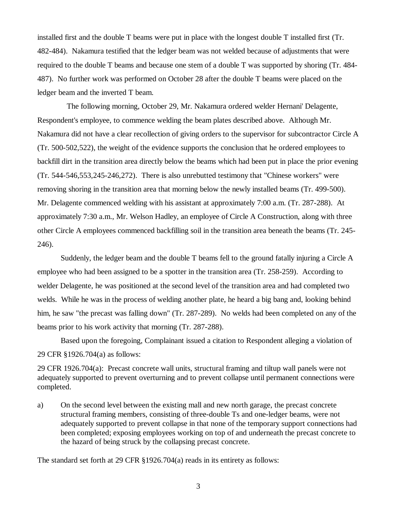installed first and the double T beams were put in place with the longest double T installed first (Tr. 482-484). Nakamura testified that the ledger beam was not welded because of adjustments that were required to the double T beams and because one stem of a double T was supported by shoring (Tr. 484- 487). No further work was performed on October 28 after the double T beams were placed on the ledger beam and the inverted T beam.

 The following morning, October 29, Mr. Nakamura ordered welder Hernani' Delagente, Respondent's employee, to commence welding the beam plates described above. Although Mr. Nakamura did not have a clear recollection of giving orders to the supervisor for subcontractor Circle A (Tr. 500-502,522), the weight of the evidence supports the conclusion that he ordered employees to backfill dirt in the transition area directly below the beams which had been put in place the prior evening (Tr. 544-546,553,245-246,272). There is also unrebutted testimony that "Chinese workers" were removing shoring in the transition area that morning below the newly installed beams (Tr. 499-500). Mr. Delagente commenced welding with his assistant at approximately 7:00 a.m. (Tr. 287-288). At approximately 7:30 a.m., Mr. Welson Hadley, an employee of Circle A Construction, along with three other Circle A employees commenced backfilling soil in the transition area beneath the beams (Tr. 245- 246).

Suddenly, the ledger beam and the double T beams fell to the ground fatally injuring a Circle A employee who had been assigned to be a spotter in the transition area (Tr. 258-259). According to welder Delagente, he was positioned at the second level of the transition area and had completed two welds. While he was in the process of welding another plate, he heard a big bang and, looking behind him, he saw "the precast was falling down" (Tr. 287-289). No welds had been completed on any of the beams prior to his work activity that morning (Tr. 287-288).

Based upon the foregoing, Complainant issued a citation to Respondent alleging a violation of 29 CFR §1926.704(a) as follows:

29 CFR 1926.704(a): Precast concrete wall units, structural framing and tiltup wall panels were not adequately supported to prevent overturning and to prevent collapse until permanent connections were completed.

a) On the second level between the existing mall and new north garage, the precast concrete structural framing members, consisting of three-double Ts and one-ledger beams, were not adequately supported to prevent collapse in that none of the temporary support connections had been completed; exposing employees working on top of and underneath the precast concrete to the hazard of being struck by the collapsing precast concrete.

The standard set forth at 29 CFR §1926.704(a) reads in its entirety as follows: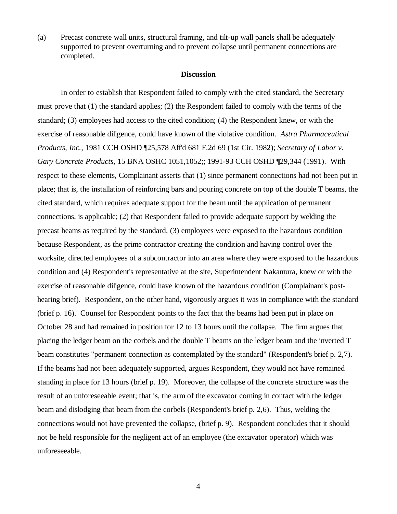(a) Precast concrete wall units, structural framing, and tilt-up wall panels shall be adequately supported to prevent overturning and to prevent collapse until permanent connections are completed.

#### **Discussion**

In order to establish that Respondent failed to comply with the cited standard, the Secretary must prove that (1) the standard applies; (2) the Respondent failed to comply with the terms of the standard; (3) employees had access to the cited condition; (4) the Respondent knew, or with the exercise of reasonable diligence, could have known of the violative condition. *Astra Pharmaceutical Products, Inc.,* 1981 CCH OSHD ¶25,578 Aff'd 681 F.2d 69 (1st Cir. 1982); *Secretary of Labor v. Gary Concrete Products,* 15 BNA OSHC 1051,1052;; 1991-93 CCH OSHD ¶29,344 (1991). With respect to these elements, Complainant asserts that (1) since permanent connections had not been put in place; that is, the installation of reinforcing bars and pouring concrete on top of the double T beams, the cited standard, which requires adequate support for the beam until the application of permanent connections, is applicable; (2) that Respondent failed to provide adequate support by welding the precast beams as required by the standard, (3) employees were exposed to the hazardous condition because Respondent, as the prime contractor creating the condition and having control over the worksite, directed employees of a subcontractor into an area where they were exposed to the hazardous condition and (4) Respondent's representative at the site, Superintendent Nakamura, knew or with the exercise of reasonable diligence, could have known of the hazardous condition (Complainant's posthearing brief). Respondent, on the other hand, vigorously argues it was in compliance with the standard (brief p. 16). Counsel for Respondent points to the fact that the beams had been put in place on October 28 and had remained in position for 12 to 13 hours until the collapse. The firm argues that placing the ledger beam on the corbels and the double T beams on the ledger beam and the inverted T beam constitutes "permanent connection as contemplated by the standard" (Respondent's brief p. 2,7). If the beams had not been adequately supported, argues Respondent, they would not have remained standing in place for 13 hours (brief p. 19). Moreover, the collapse of the concrete structure was the result of an unforeseeable event; that is, the arm of the excavator coming in contact with the ledger beam and dislodging that beam from the corbels (Respondent's brief p. 2,6). Thus, welding the connections would not have prevented the collapse, (brief p. 9). Respondent concludes that it should not be held responsible for the negligent act of an employee (the excavator operator) which was unforeseeable.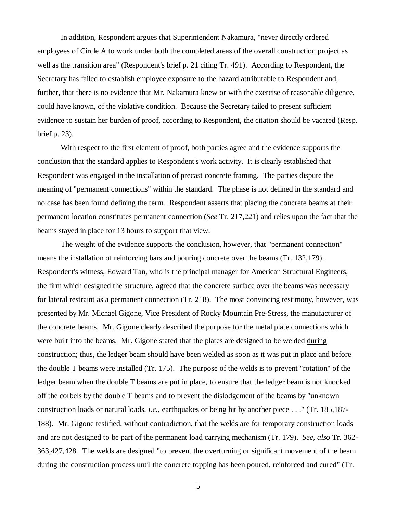In addition, Respondent argues that Superintendent Nakamura, "never directly ordered employees of Circle A to work under both the completed areas of the overall construction project as well as the transition area" (Respondent's brief p. 21 citing Tr. 491). According to Respondent, the Secretary has failed to establish employee exposure to the hazard attributable to Respondent and, further, that there is no evidence that Mr. Nakamura knew or with the exercise of reasonable diligence, could have known, of the violative condition. Because the Secretary failed to present sufficient evidence to sustain her burden of proof, according to Respondent, the citation should be vacated (Resp. brief p. 23).

With respect to the first element of proof, both parties agree and the evidence supports the conclusion that the standard applies to Respondent's work activity. It is clearly established that Respondent was engaged in the installation of precast concrete framing. The parties dispute the meaning of "permanent connections" within the standard. The phase is not defined in the standard and no case has been found defining the term. Respondent asserts that placing the concrete beams at their permanent location constitutes permanent connection (*See* Tr. 217,221) and relies upon the fact that the beams stayed in place for 13 hours to support that view.

The weight of the evidence supports the conclusion, however, that "permanent connection" means the installation of reinforcing bars and pouring concrete over the beams (Tr. 132,179). Respondent's witness, Edward Tan, who is the principal manager for American Structural Engineers, the firm which designed the structure, agreed that the concrete surface over the beams was necessary for lateral restraint as a permanent connection (Tr. 218). The most convincing testimony, however, was presented by Mr. Michael Gigone, Vice President of Rocky Mountain Pre-Stress, the manufacturer of the concrete beams. Mr. Gigone clearly described the purpose for the metal plate connections which were built into the beams. Mr. Gigone stated that the plates are designed to be welded during construction; thus, the ledger beam should have been welded as soon as it was put in place and before the double T beams were installed (Tr. 175). The purpose of the welds is to prevent "rotation" of the ledger beam when the double T beams are put in place, to ensure that the ledger beam is not knocked off the corbels by the double T beams and to prevent the dislodgement of the beams by "unknown construction loads or natural loads, *i.e.,* earthquakes or being hit by another piece . . ." (Tr. 185,187- 188). Mr. Gigone testified, without contradiction, that the welds are for temporary construction loads and are not designed to be part of the permanent load carrying mechanism (Tr. 179). *See, also* Tr. 362- 363,427,428. The welds are designed "to prevent the overturning or significant movement of the beam during the construction process until the concrete topping has been poured, reinforced and cured" (Tr.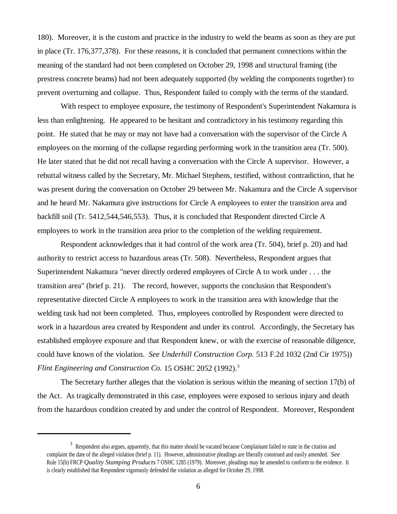180). Moreover, it is the custom and practice in the industry to weld the beams as soon as they are put in place (Tr. 176,377,378). For these reasons, it is concluded that permanent connections within the meaning of the standard had not been completed on October 29, 1998 and structural framing (the prestress concrete beams) had not been adequately supported (by welding the components together) to prevent overturning and collapse. Thus, Respondent failed to comply with the terms of the standard.

With respect to employee exposure, the testimony of Respondent's Superintendent Nakamura is less than enlightening. He appeared to be hesitant and contradictory in his testimony regarding this point. He stated that he may or may not have had a conversation with the supervisor of the Circle A employees on the morning of the collapse regarding performing work in the transition area (Tr. 500). He later stated that he did not recall having a conversation with the Circle A supervisor. However, a rebuttal witness called by the Secretary, Mr. Michael Stephens, testified, without contradiction, that he was present during the conversation on October 29 between Mr. Nakamura and the Circle A supervisor and he heard Mr. Nakamura give instructions for Circle A employees to enter the transition area and backfill soil (Tr. 5412,544,546,553). Thus, it is concluded that Respondent directed Circle A employees to work in the transition area prior to the completion of the welding requirement.

Respondent acknowledges that it had control of the work area (Tr. 504), brief p. 20) and had authority to restrict access to hazardous areas (Tr. 508). Nevertheless, Respondent argues that Superintendent Nakamura "never directly ordered employees of Circle A to work under . . . the transition area" (brief p. 21). The record, however, supports the conclusion that Respondent's representative directed Circle A employees to work in the transition area with knowledge that the welding task had not been completed. Thus, employees controlled by Respondent were directed to work in a hazardous area created by Respondent and under its control. Accordingly, the Secretary has established employee exposure and that Respondent knew, or with the exercise of reasonable diligence, could have known of the violation. *See Underhill Construction Corp.* 513 F.2d 1032 (2nd Cir 1975)) *Flint Engineering and Construction Co.* 15 OSHC 2052 (1992).<sup>3</sup>

The Secretary further alleges that the violation is serious within the meaning of section 17(b) of the Act. As tragically demonstrated in this case, employees were exposed to serious injury and death from the hazardous condition created by and under the control of Respondent. Moreover, Respondent

 $3$  Respondent also argues, apparently, that this matter should be vacated because Complainant failed to state in the citation and complaint the date of the alleged violation (brief p. 11). However, administrative pleadings are liberally construed and easily amended. *See* Rule 15(b) FRCP *Quality Stamping Products* 7 OSHC 1285 (1979). Moreover, pleadings may be amended to conform to the evidence. It is clearly established that Respondent vigorously defended the violation as alleged for October 29, 1998.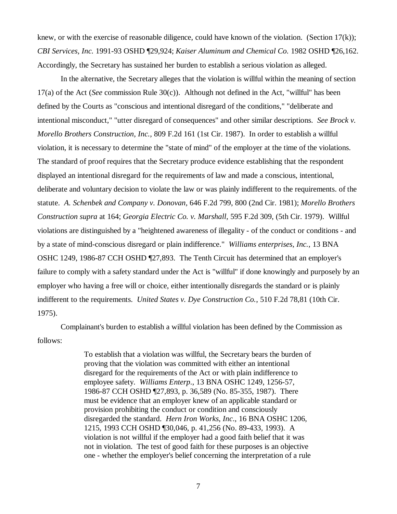knew, or with the exercise of reasonable diligence, could have known of the violation. (Section  $17(k)$ ); *CBI Services, Inc.* 1991-93 OSHD ¶29,924; *Kaiser Aluminum and Chemical Co.* 1982 OSHD ¶26,162. Accordingly, the Secretary has sustained her burden to establish a serious violation as alleged.

In the alternative, the Secretary alleges that the violation is willful within the meaning of section 17(a) of the Act (*See* commission Rule 30(c)). Although not defined in the Act, "willful" has been defined by the Courts as "conscious and intentional disregard of the conditions," "deliberate and intentional misconduct," "utter disregard of consequences" and other similar descriptions. *See Brock v. Morello Brothers Construction, Inc.,* 809 F.2d 161 (1st Cir. 1987). In order to establish a willful violation, it is necessary to determine the "state of mind" of the employer at the time of the violations. The standard of proof requires that the Secretary produce evidence establishing that the respondent displayed an intentional disregard for the requirements of law and made a conscious, intentional, deliberate and voluntary decision to violate the law or was plainly indifferent to the requirements. of the statute. *A. Schenbek and Company v. Donovan,* 646 F.2d 799, 800 (2nd Cir. 1981); *Morello Brothers Construction supra* at 164; *Georgia Electric Co. v. Marshall,* 595 F.2d 309, (5th Cir. 1979). Willful violations are distinguished by a "heightened awareness of illegality - of the conduct or conditions - and by a state of mind-conscious disregard or plain indifference." *Williams enterprises, Inc.*, 13 BNA OSHC 1249, 1986-87 CCH OSHD ¶27,893. The Tenth Circuit has determined that an employer's failure to comply with a safety standard under the Act is "willful" if done knowingly and purposely by an employer who having a free will or choice, either intentionally disregards the standard or is plainly indifferent to the requirements. *United States v. Dye Construction Co.*, 510 F.2d 78,81 (10th Cir. 1975).

Complainant's burden to establish a willful violation has been defined by the Commission as follows:

> To establish that a violation was willful, the Secretary bears the burden of proving that the violation was committed with either an intentional disregard for the requirements of the Act or with plain indifference to employee safety. *Williams Enterp*., 13 BNA OSHC 1249, 1256-57, 1986-87 CCH OSHD ¶27,893, p. 36,589 (No. 85-355, 1987). There must be evidence that an employer knew of an applicable standard or provision prohibiting the conduct or condition and consciously disregarded the standard. *Hern Iron Works, Inc*., 16 BNA OSHC 1206, 1215, 1993 CCH OSHD ¶30,046, p. 41,256 (No. 89-433, 1993). A violation is not willful if the employer had a good faith belief that it was not in violation. The test of good faith for these purposes is an objective one - whether the employer's belief concerning the interpretation of a rule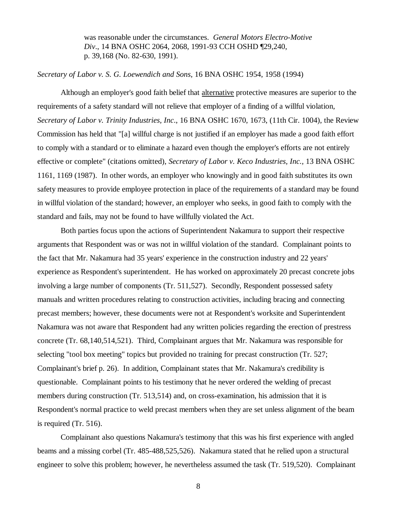was reasonable under the circumstances. *General Motors Electro-Motive Div*., 14 BNA OSHC 2064, 2068, 1991-93 CCH OSHD ¶29,240, p. 39,168 (No. 82-630, 1991).

# *Secretary of Labor v. S. G. Loewendich and Sons*, 16 BNA OSHC 1954, 1958 (1994)

Although an employer's good faith belief that alternative protective measures are superior to the requirements of a safety standard will not relieve that employer of a finding of a willful violation, *Secretary of Labor v. Trinity Industries, Inc*., 16 BNA OSHC 1670, 1673, (11th Cir. 1004), the Review Commission has held that "[a] willful charge is not justified if an employer has made a good faith effort to comply with a standard or to eliminate a hazard even though the employer's efforts are not entirely effective or complete" (citations omitted), *Secretary of Labor v. Keco Industries, Inc.,* 13 BNA OSHC 1161, 1169 (1987). In other words, an employer who knowingly and in good faith substitutes its own safety measures to provide employee protection in place of the requirements of a standard may be found in willful violation of the standard; however, an employer who seeks, in good faith to comply with the standard and fails, may not be found to have willfully violated the Act.

Both parties focus upon the actions of Superintendent Nakamura to support their respective arguments that Respondent was or was not in willful violation of the standard. Complainant points to the fact that Mr. Nakamura had 35 years' experience in the construction industry and 22 years' experience as Respondent's superintendent. He has worked on approximately 20 precast concrete jobs involving a large number of components (Tr. 511,527). Secondly, Respondent possessed safety manuals and written procedures relating to construction activities, including bracing and connecting precast members; however, these documents were not at Respondent's worksite and Superintendent Nakamura was not aware that Respondent had any written policies regarding the erection of prestress concrete (Tr. 68,140,514,521). Third, Complainant argues that Mr. Nakamura was responsible for selecting "tool box meeting" topics but provided no training for precast construction (Tr. 527; Complainant's brief p. 26). In addition, Complainant states that Mr. Nakamura's credibility is questionable. Complainant points to his testimony that he never ordered the welding of precast members during construction (Tr. 513,514) and, on cross-examination, his admission that it is Respondent's normal practice to weld precast members when they are set unless alignment of the beam is required (Tr. 516).

Complainant also questions Nakamura's testimony that this was his first experience with angled beams and a missing corbel (Tr. 485-488,525,526). Nakamura stated that he relied upon a structural engineer to solve this problem; however, he nevertheless assumed the task (Tr. 519,520). Complainant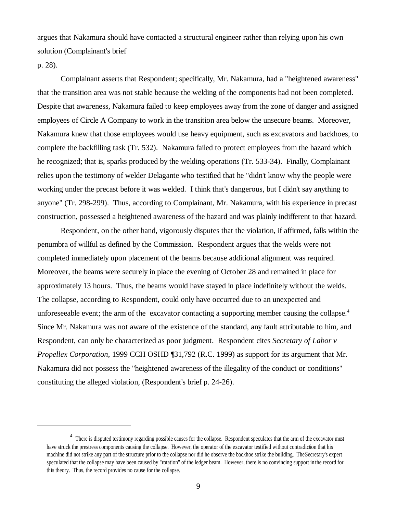argues that Nakamura should have contacted a structural engineer rather than relying upon his own solution (Complainant's brief

p. 28).

Complainant asserts that Respondent; specifically, Mr. Nakamura, had a "heightened awareness" that the transition area was not stable because the welding of the components had not been completed. Despite that awareness, Nakamura failed to keep employees away from the zone of danger and assigned employees of Circle A Company to work in the transition area below the unsecure beams. Moreover, Nakamura knew that those employees would use heavy equipment, such as excavators and backhoes, to complete the backfilling task (Tr. 532). Nakamura failed to protect employees from the hazard which he recognized; that is, sparks produced by the welding operations (Tr. 533-34). Finally, Complainant relies upon the testimony of welder Delagante who testified that he "didn't know why the people were working under the precast before it was welded. I think that's dangerous, but I didn't say anything to anyone" (Tr. 298-299). Thus, according to Complainant, Mr. Nakamura, with his experience in precast construction, possessed a heightened awareness of the hazard and was plainly indifferent to that hazard.

Respondent, on the other hand, vigorously disputes that the violation, if affirmed, falls within the penumbra of willful as defined by the Commission. Respondent argues that the welds were not completed immediately upon placement of the beams because additional alignment was required. Moreover, the beams were securely in place the evening of October 28 and remained in place for approximately 13 hours. Thus, the beams would have stayed in place indefinitely without the welds. The collapse, according to Respondent, could only have occurred due to an unexpected and unforeseeable event; the arm of the excavator contacting a supporting member causing the collapse.<sup>4</sup> Since Mr. Nakamura was not aware of the existence of the standard, any fault attributable to him, and Respondent, can only be characterized as poor judgment. Respondent cites *Secretary of Labor v Propellex Corporation*, 1999 CCH OSHD ¶31,792 (R.C. 1999) as support for its argument that Mr. Nakamura did not possess the "heightened awareness of the illegality of the conduct or conditions" constituting the alleged violation, (Respondent's brief p. 24-26).

<sup>&</sup>lt;sup>4</sup> There is disputed testimony regarding possible causes for the collapse. Respondent speculates that the arm of the excavator must have struck the prestress components causing the collapse. However, the operator of the excavator testified without contradiction that his machine did not strike any part of the structure prior to the collapse nor did he observe the backhoe strike the building. The Secretary's expert speculated that the collapse may have been caused by "rotation" of the ledger beam. However, there is no convincing support in the record for this theory. Thus, the record provides no cause for the collapse.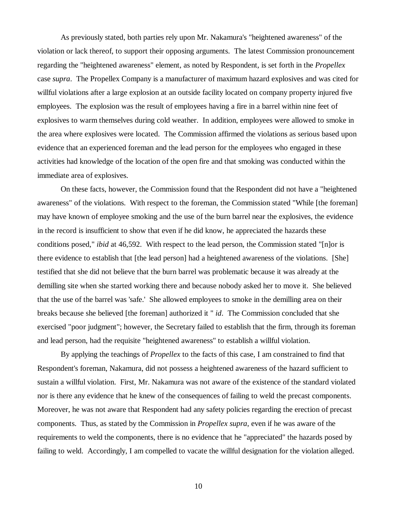As previously stated, both parties rely upon Mr. Nakamura's "heightened awareness" of the violation or lack thereof, to support their opposing arguments. The latest Commission pronouncement regarding the "heightened awareness" element, as noted by Respondent, is set forth in the *Propellex* case *supra*. The Propellex Company is a manufacturer of maximum hazard explosives and was cited for willful violations after a large explosion at an outside facility located on company property injured five employees. The explosion was the result of employees having a fire in a barrel within nine feet of explosives to warm themselves during cold weather. In addition, employees were allowed to smoke in the area where explosives were located. The Commission affirmed the violations as serious based upon evidence that an experienced foreman and the lead person for the employees who engaged in these activities had knowledge of the location of the open fire and that smoking was conducted within the immediate area of explosives.

On these facts, however, the Commission found that the Respondent did not have a "heightened awareness" of the violations. With respect to the foreman, the Commission stated "While [the foreman] may have known of employee smoking and the use of the burn barrel near the explosives, the evidence in the record is insufficient to show that even if he did know, he appreciated the hazards these conditions posed," *ibid* at 46,592. With respect to the lead person, the Commission stated "[n]or is there evidence to establish that [the lead person] had a heightened awareness of the violations. [She] testified that she did not believe that the burn barrel was problematic because it was already at the demilling site when she started working there and because nobody asked her to move it. She believed that the use of the barrel was 'safe.' She allowed employees to smoke in the demilling area on their breaks because she believed [the foreman] authorized it " *id*. The Commission concluded that she exercised "poor judgment"; however, the Secretary failed to establish that the firm, through its foreman and lead person, had the requisite "heightened awareness" to establish a willful violation.

By applying the teachings of *Propellex* to the facts of this case, I am constrained to find that Respondent's foreman, Nakamura, did not possess a heightened awareness of the hazard sufficient to sustain a willful violation. First, Mr. Nakamura was not aware of the existence of the standard violated nor is there any evidence that he knew of the consequences of failing to weld the precast components. Moreover, he was not aware that Respondent had any safety policies regarding the erection of precast components. Thus, as stated by the Commission in *Propellex supra*, even if he was aware of the requirements to weld the components, there is no evidence that he "appreciated" the hazards posed by failing to weld. Accordingly, I am compelled to vacate the willful designation for the violation alleged.